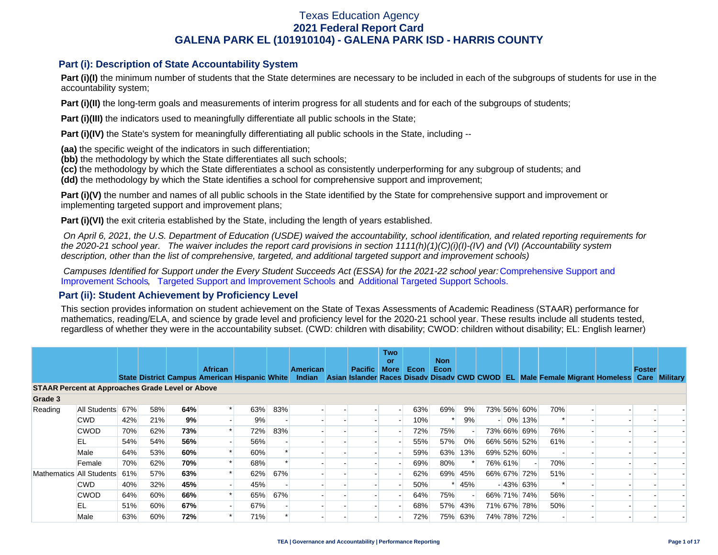### **Part (i): Description of State Accountability System**

Part (i)(I) the minimum number of students that the State determines are necessary to be included in each of the subgroups of students for use in the accountability system;

**Part (i)(II)** the long-term goals and measurements of interim progress for all students and for each of the subgroups of students;

**Part (i)(III)** the indicators used to meaningfully differentiate all public schools in the State;

**Part (i)(IV)** the State's system for meaningfully differentiating all public schools in the State, including --

**(aa)** the specific weight of the indicators in such differentiation;

**(bb)** the methodology by which the State differentiates all such schools;

**(cc)** the methodology by which the State differentiates a school as consistently underperforming for any subgroup of students; and

**(dd)** the methodology by which the State identifies a school for comprehensive support and improvement;

**Part (i)(V)** the number and names of all public schools in the State identified by the State for comprehensive support and improvement or implementing targeted support and improvement plans;

**Part (i)(VI)** the exit criteria established by the State, including the length of years established.

 *On April 6, 2021, the U.S. Department of Education (USDE) waived the accountability, school identification, and related reporting requirements for the 2020-21 school year. The waiver includes the report card provisions in section 1111(h)(1)(C)(i)(I)-(IV) and (VI) (Accountability system description, other than the list of comprehensive, targeted, and additional targeted support and improvement schools)* 

*Campuses Identified for Support under the Every Student Succeeds Act (ESSA) for the 2021-22 school year:* [Comprehensive Support and](https://tea.texas.gov/sites/default/files/comprehensive_support_2021.xlsx) [Improvement Schools](https://tea.texas.gov/sites/default/files/comprehensive_support_2021.xlsx), [Targeted Support and Improvement Schools](https://tea.texas.gov/sites/default/files/targeted_support_2021.xlsx) and [Additional Targeted Support Schools.](https://tea.texas.gov/sites/default/files/additional_targeted_support_2021.xlsx)

### **Part (ii): Student Achievement by Proficiency Level**

This section provides information on student achievement on the State of Texas Assessments of Academic Readiness (STAAR) performance for mathematics, reading/ELA, and science by grade level and proficiency level for the 2020-21 school year. These results include all students tested, regardless of whether they were in the accountability subset. (CWD: children with disability; CWOD: children without disability; EL: English learner)

|                                                         |              |     |     |     |                                                                        |     |     |                           |                | <b>Two</b><br>or |      | <b>Non</b> |         |         |             |     |                                                                                           |        |  |
|---------------------------------------------------------|--------------|-----|-----|-----|------------------------------------------------------------------------|-----|-----|---------------------------|----------------|------------------|------|------------|---------|---------|-------------|-----|-------------------------------------------------------------------------------------------|--------|--|
|                                                         |              |     |     |     | <b>African</b><br><b>State District Campus American Hispanic White</b> |     |     | <b>American</b><br>Indian | <b>Pacific</b> | <b>More</b>      | Econ | Econ       |         |         |             |     | Asian Islander Races Disady Disady CWD CWOD EL Male Female Migrant Homeless Care Military | Foster |  |
| <b>STAAR Percent at Approaches Grade Level or Above</b> |              |     |     |     |                                                                        |     |     |                           |                |                  |      |            |         |         |             |     |                                                                                           |        |  |
| Grade 3                                                 |              |     |     |     |                                                                        |     |     |                           |                |                  |      |            |         |         |             |     |                                                                                           |        |  |
| Reading                                                 | All Students | 67% | 58% | 64% |                                                                        | 63% | 83% |                           |                |                  | 63%  | 69%        | 9%      |         | 73% 56% 60% | 70% |                                                                                           |        |  |
|                                                         | <b>CWD</b>   | 42% | 21% | 9%  |                                                                        | 9%  |     |                           |                |                  | 10%  |            | 9%      |         | $-10\%$ 13% |     |                                                                                           |        |  |
|                                                         | <b>CWOD</b>  | 70% | 62% | 73% |                                                                        | 72% | 83% |                           |                |                  | 72%  | 75%        |         |         | 73% 66% 69% | 76% |                                                                                           |        |  |
|                                                         | EL           | 54% | 54% | 56% |                                                                        | 56% |     |                           |                |                  | 55%  | 57%        | $0\%$   |         | 66% 56% 52% | 61% |                                                                                           |        |  |
|                                                         | Male         | 64% | 53% | 60% |                                                                        | 60% |     |                           |                |                  | 59%  | 63%        | 13%     |         | 69% 52% 60% |     |                                                                                           |        |  |
|                                                         | Female       | 70% | 62% | 70% |                                                                        | 68% |     |                           |                |                  | 69%  | 80%        |         | 76% 61% |             | 70% |                                                                                           |        |  |
| Mathematics All Students                                |              | 61% | 57% | 63% |                                                                        | 62% | 67% |                           |                |                  | 62%  | 69%        | 45%     |         | 66% 67% 72% | 51% |                                                                                           |        |  |
|                                                         | <b>CWD</b>   | 40% | 32% | 45% |                                                                        | 45% |     |                           |                |                  | 50%  |            | 45%     |         | $-43\%$ 63% |     |                                                                                           |        |  |
|                                                         | <b>CWOD</b>  | 64% | 60% | 66% |                                                                        | 65% | 67% |                           |                |                  | 64%  | 75%        |         |         | 66% 71% 74% | 56% |                                                                                           |        |  |
|                                                         | EL           | 51% | 60% | 67% |                                                                        | 67% |     |                           |                |                  | 68%  |            | 57% 43% |         | 71% 67% 78% | 50% |                                                                                           |        |  |
|                                                         | Male         | 63% | 60% | 72% |                                                                        | 71% |     |                           |                |                  | 72%  | 75%        | 63%     |         | 74% 78% 72% |     |                                                                                           |        |  |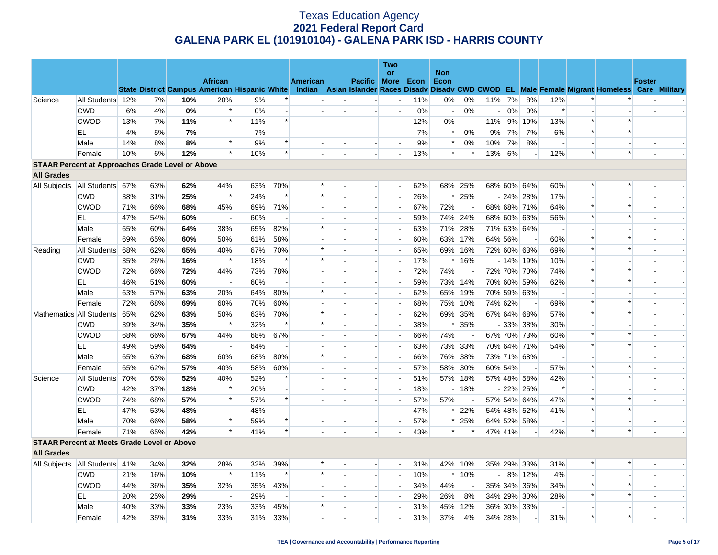|                                                         |                  |     |     |     |                                                                        |     |                          |          |                          |                          | Two                      |      |            |                          |         |         |                |                          |                          |                                                                                                  |               |  |
|---------------------------------------------------------|------------------|-----|-----|-----|------------------------------------------------------------------------|-----|--------------------------|----------|--------------------------|--------------------------|--------------------------|------|------------|--------------------------|---------|---------|----------------|--------------------------|--------------------------|--------------------------------------------------------------------------------------------------|---------------|--|
|                                                         |                  |     |     |     |                                                                        |     |                          |          |                          |                          | or                       |      | <b>Non</b> |                          |         |         |                |                          |                          |                                                                                                  |               |  |
|                                                         |                  |     |     |     | <b>African</b><br><b>State District Campus American Hispanic White</b> |     |                          | American |                          | <b>Pacific More</b>      |                          | Econ | Econ       |                          |         |         |                |                          |                          | Indian Asian Islander Races Disady Disady CWD CWOD EL Male Female Migrant Homeless Care Military | <b>Foster</b> |  |
| Science                                                 | All Students 12% |     | 7%  | 10% | 20%                                                                    | 9%  |                          |          |                          |                          | $\overline{a}$           | 11%  | 0%         | 0%                       | 11%     | 7%      | 8%             | 12%                      |                          |                                                                                                  |               |  |
|                                                         | <b>CWD</b>       | 6%  | 4%  | 0%  | $\ast$                                                                 | 0%  |                          |          |                          |                          | $\overline{\phantom{a}}$ | 0%   |            | 0%                       |         | $0\%$   | 0%             | $\ast$                   |                          |                                                                                                  |               |  |
|                                                         | <b>CWOD</b>      | 13% | 7%  | 11% | $\ast$                                                                 | 11% | $\ast$                   |          | $\overline{\phantom{a}}$ | $\overline{a}$           | $\overline{\phantom{a}}$ | 12%  | $0\%$      |                          | 11%     |         | 9% 10%         | 13%                      | $\ast$                   | $\ast$                                                                                           |               |  |
|                                                         | EL.              | 4%  | 5%  | 7%  | $\overline{a}$                                                         | 7%  | $\overline{a}$           |          |                          |                          | $\overline{a}$           | 7%   |            | 0%                       | 9%      | 7%      | 7%             | 6%                       | $\ast$                   |                                                                                                  |               |  |
|                                                         | Male             | 14% | 8%  | 8%  | $\ast$                                                                 | 9%  | $\ast$                   |          | $\overline{\phantom{a}}$ | $\blacksquare$           | $\overline{\phantom{a}}$ | 9%   | $\ast$     | 0%                       | 10%     | 7%      | 8%             | $\overline{\phantom{a}}$ |                          |                                                                                                  |               |  |
|                                                         | Female           | 10% | 6%  | 12% | $\ast$                                                                 | 10% | $\ast$                   |          |                          |                          | $\overline{\phantom{a}}$ | 13%  | $\ast$     | $\ast$                   | 13%     | 6%      | $\overline{a}$ | 12%                      | $\ast$                   | $\ast$                                                                                           |               |  |
| <b>STAAR Percent at Approaches Grade Level or Above</b> |                  |     |     |     |                                                                        |     |                          |          |                          |                          |                          |      |            |                          |         |         |                |                          |                          |                                                                                                  |               |  |
| <b>All Grades</b>                                       |                  |     |     |     |                                                                        |     |                          |          |                          |                          |                          |      |            |                          |         |         |                |                          |                          |                                                                                                  |               |  |
| All Subjects                                            | All Students 67% |     | 63% | 62% | 44%                                                                    | 63% | 70%                      | $\ast$   |                          |                          |                          | 62%  |            | 68% 25%                  |         |         | 68% 60% 64%    | 60%                      | $\ast$                   | $\ast$                                                                                           |               |  |
|                                                         | <b>CWD</b>       | 38% | 31% | 25% | $\ast$                                                                 | 24% | $\ast$                   | $\ast$   |                          | $\blacksquare$           | $\overline{a}$           | 26%  | ∗          | 25%                      |         |         | $-24\%$ 28%    | 17%                      |                          |                                                                                                  |               |  |
|                                                         | <b>CWOD</b>      | 71% | 66% | 68% | 45%                                                                    | 69% | 71%                      |          |                          | $\overline{a}$           | $\overline{a}$           | 67%  | 72%        | $\overline{\phantom{a}}$ |         |         | 68% 68% 71%    | 64%                      | $\ast$                   | $\ast$                                                                                           |               |  |
|                                                         | EL               | 47% | 54% | 60% | $\overline{\phantom{a}}$                                               | 60% | $\overline{\phantom{a}}$ |          |                          |                          | $\overline{\phantom{a}}$ | 59%  | 74%        | 24%                      |         |         | 68% 60% 63%    | 56%                      | $\ast$                   |                                                                                                  |               |  |
|                                                         | Male             | 65% | 60% | 64% | 38%                                                                    | 65% | 82%                      | $\ast$   |                          | $\overline{a}$           | н.                       | 63%  | 71%        | 28%                      |         |         | 71% 63% 64%    | $\overline{\phantom{a}}$ | $\overline{a}$           |                                                                                                  |               |  |
|                                                         | Female           | 69% | 65% | 60% | 50%                                                                    | 61% | 58%                      |          |                          | $\blacksquare$           | $\overline{\phantom{a}}$ | 60%  |            | 63% 17%                  |         | 64% 56% |                | 60%                      | $\ast$                   | $\ast$                                                                                           |               |  |
| Reading                                                 | All Students     | 68% | 62% | 65% | 40%                                                                    | 67% | 70%                      | $\ast$   |                          | $\overline{\phantom{a}}$ | $\overline{\phantom{0}}$ | 65%  |            | 69% 16%                  |         |         | 72% 60% 63%    | 69%                      | $\ast$                   | $\ast$                                                                                           |               |  |
|                                                         | <b>CWD</b>       | 35% | 26% | 16% | $\ast$                                                                 | 18% | $\ast$                   | $\ast$   |                          |                          | $\blacksquare$           | 17%  |            | $*16%$                   |         |         | $-14\%$ 19%    | 10%                      |                          |                                                                                                  |               |  |
|                                                         | <b>CWOD</b>      | 72% | 66% | 72% | 44%                                                                    | 73% | 78%                      |          |                          | $\overline{\phantom{a}}$ |                          | 72%  | 74%        |                          |         |         | 72% 70% 70%    | 74%                      | $\ast$                   |                                                                                                  |               |  |
|                                                         | EL               | 46% | 51% | 60% | $\overline{\phantom{a}}$                                               | 60% | $\overline{\phantom{a}}$ |          |                          |                          | $\overline{a}$           | 59%  | 73%        | 14%                      |         |         | 70% 60% 59%    | 62%                      | $\ast$                   |                                                                                                  |               |  |
|                                                         | Male             | 63% | 57% | 63% | 20%                                                                    | 64% | 80%                      |          |                          | $\overline{\phantom{a}}$ | $\overline{\phantom{a}}$ | 62%  | 65%        | 19%                      |         |         | 70% 59% 63%    | $\overline{\phantom{a}}$ | $\overline{\phantom{a}}$ |                                                                                                  |               |  |
|                                                         | Female           | 72% | 68% | 69% | 60%                                                                    | 70% | 60%                      |          |                          |                          | $\overline{\phantom{a}}$ | 68%  |            | 75% 10%                  | 74% 62% |         |                | 69%                      | $\ast$                   | $\ast$                                                                                           |               |  |
| Mathematics All Students                                |                  | 65% | 62% | 63% | 50%                                                                    | 63% | 70%                      |          |                          | $\blacksquare$           | $\blacksquare$           | 62%  |            | 69% 35%                  |         |         | 67% 64% 68%    | 57%                      | $\ast$                   | $\ast$                                                                                           |               |  |
|                                                         | <b>CWD</b>       | 39% | 34% | 35% | $\ast$                                                                 | 32% | $\ast$                   | $\ast$   |                          | $\overline{\phantom{a}}$ | $\overline{\phantom{a}}$ | 38%  | $\ast$     | 35%                      |         |         | $-33\%$ 38%    | 30%                      | $\overline{a}$           |                                                                                                  |               |  |
|                                                         | <b>CWOD</b>      | 68% | 66% | 67% | 44%                                                                    | 68% | 67%                      |          |                          |                          | $\overline{\phantom{a}}$ | 66%  | 74%        |                          |         |         | 67% 70% 73%    | 60%                      | $\ast$                   |                                                                                                  |               |  |
|                                                         | EL               | 49% | 59% | 64% | $\overline{\phantom{a}}$                                               | 64% | $\overline{\phantom{a}}$ |          | $\overline{\phantom{a}}$ | $\blacksquare$           | $\overline{\phantom{a}}$ | 63%  |            | 73% 33%                  |         |         | 70% 64% 71%    | 54%                      | $\ast$                   | $\ast$                                                                                           |               |  |
|                                                         | Male             | 65% | 63% | 68% | 60%                                                                    | 68% | 80%                      | $\ast$   | $\overline{a}$           | $\overline{a}$           | $\overline{a}$           | 66%  | 76%        | 38%                      |         |         | 73% 71% 68%    | $\overline{\phantom{a}}$ | $\overline{a}$           |                                                                                                  |               |  |
|                                                         | Female           | 65% | 62% | 57% | 40%                                                                    | 58% | 60%                      |          |                          |                          | $\overline{\phantom{a}}$ | 57%  | 58%        | 30%                      |         | 60% 54% |                | 57%                      | $\ast$                   |                                                                                                  |               |  |
| Science                                                 | All Students     | 70% | 65% | 52% | 40%                                                                    | 52% | $\ast$                   |          |                          | $\overline{a}$           | $\overline{a}$           | 51%  | 57%        | 18%                      |         |         | 57% 48% 58%    | 42%                      | $\ast$                   | $\ast$                                                                                           |               |  |
|                                                         | <b>CWD</b>       | 42% | 37% | 18% | $\ast$                                                                 | 20% | $\overline{\phantom{a}}$ |          |                          | $\overline{\phantom{a}}$ | $\overline{\phantom{a}}$ | 18%  |            | 18%                      |         |         | $-22\%$ 25%    | $\ast$                   |                          |                                                                                                  |               |  |
|                                                         | <b>CWOD</b>      | 74% | 68% | 57% | $\ast$                                                                 | 57% | $\ast$                   |          | $\sim$                   | $\overline{\phantom{a}}$ | $\overline{a}$           | 57%  | 57%        | $\overline{\phantom{a}}$ |         |         | 57% 54% 64%    | 47%                      | $\ast$                   | $\ast$                                                                                           |               |  |
|                                                         | EL               | 47% | 53% | 48% | $\sim$                                                                 | 48% |                          |          |                          |                          | $\overline{a}$           | 47%  | ∗          | 22%                      |         |         | 54% 48% 52%    | 41%                      | $\ast$                   | $\ast$                                                                                           |               |  |
|                                                         | Male             | 70% | 66% | 58% | $\ast$                                                                 | 59% | $\ast$                   |          | $\overline{\phantom{a}}$ | $\overline{\phantom{0}}$ | $\blacksquare$           | 57%  | $\ast$     | 25%                      |         |         | 64% 52% 58%    | $\overline{\phantom{a}}$ | $\blacksquare$           |                                                                                                  |               |  |
|                                                         | Female           | 71% | 65% | 42% | $\ast$                                                                 | 41% | $\ast$                   |          |                          |                          | $\overline{\phantom{a}}$ | 43%  | $\ast$     |                          |         | 47% 41% |                | 42%                      | $\ast$                   | $\ast$                                                                                           |               |  |
| <b>STAAR Percent at Meets Grade Level or Above</b>      |                  |     |     |     |                                                                        |     |                          |          |                          |                          |                          |      |            |                          |         |         |                |                          |                          |                                                                                                  |               |  |
| <b>All Grades</b>                                       |                  |     |     |     |                                                                        |     |                          |          |                          |                          |                          |      |            |                          |         |         |                |                          |                          |                                                                                                  |               |  |
| All Subjects   All Students   41%                       |                  |     | 34% | 32% | 28%                                                                    | 32% | 39%                      |          |                          | $\blacksquare$           | $\overline{\phantom{0}}$ | 31%  |            | 42% 10%                  |         |         | 35% 29% 33%    | 31%                      | *                        |                                                                                                  |               |  |
|                                                         | <b>CWD</b>       | 21% | 16% | 10% | $\ast$                                                                 | 11% | $\ast$                   | $\ast$   | $\overline{a}$           | $\overline{a}$           | $\overline{a}$           | 10%  | $\ast$     | 10%                      |         |         | $-8\%$ 12%     | 4%                       | $\overline{a}$           |                                                                                                  |               |  |
|                                                         | <b>CWOD</b>      | 44% | 36% | 35% | 32%                                                                    | 35% | 43%                      |          |                          |                          | $\overline{\phantom{a}}$ | 34%  | 44%        | $\sim$                   |         |         | 35% 34% 36%    | 34%                      | $\ast$                   |                                                                                                  |               |  |
|                                                         | EL               | 20% | 25% | 29% | $\overline{\phantom{a}}$                                               | 29% | $\overline{\phantom{a}}$ |          | $\overline{\phantom{a}}$ | $\overline{a}$           | $\overline{a}$           | 29%  | 26%        | 8%                       |         |         | 34% 29% 30%    | 28%                      | $\ast$                   | $\ast$                                                                                           |               |  |
|                                                         | Male             | 40% | 33% | 33% | 23%                                                                    | 33% | 45%                      | $\ast$   |                          | $\overline{a}$           | $\overline{a}$           | 31%  | 45%        | 12%                      |         |         | 36% 30% 33%    | $\overline{\phantom{a}}$ |                          |                                                                                                  |               |  |
|                                                         | Female           | 42% | 35% | 31% | 33%                                                                    | 31% | 33%                      |          |                          |                          | $\overline{\phantom{0}}$ | 31%  | 37%        | 4%                       | 34% 28% |         |                | 31%                      | $\ast$                   |                                                                                                  |               |  |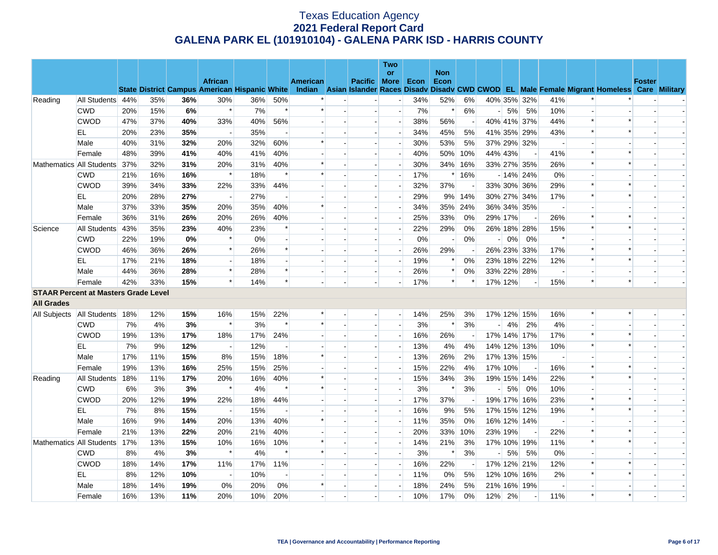|                                             |                  |     |     |     |                                                                        |       |                          |                 |                          |                          | Two                      |       |            |        |                |       |                          |                          |        |                                                                                                  |               |  |
|---------------------------------------------|------------------|-----|-----|-----|------------------------------------------------------------------------|-------|--------------------------|-----------------|--------------------------|--------------------------|--------------------------|-------|------------|--------|----------------|-------|--------------------------|--------------------------|--------|--------------------------------------------------------------------------------------------------|---------------|--|
|                                             |                  |     |     |     |                                                                        |       |                          |                 |                          |                          | <b>or</b>                |       | <b>Non</b> |        |                |       |                          |                          |        |                                                                                                  |               |  |
|                                             |                  |     |     |     | <b>African</b><br><b>State District Campus American Hispanic White</b> |       |                          | <b>American</b> |                          | Pacific More             |                          | Econ  | Econ       |        |                |       |                          |                          |        | Indian Asian Islander Races Disady Disady CWD CWOD EL Male Female Migrant Homeless Care Military | <b>Foster</b> |  |
| Reading                                     | All Students 44% |     | 35% | 36% | 30%                                                                    | 36%   | 50%                      |                 |                          |                          | $\overline{\phantom{a}}$ | 34%   | 52%        | 6%     |                |       | 40% 35% 32%              | 41%                      |        |                                                                                                  |               |  |
|                                             | <b>CWD</b>       | 20% | 15% | 6%  | $\ast$                                                                 | 7%    | $\ast$                   |                 |                          | $\overline{\phantom{a}}$ | $\overline{\phantom{a}}$ | 7%    | $\ast$     | 6%     | $\overline{a}$ | 5%    | 5%                       | 10%                      |        |                                                                                                  |               |  |
|                                             | <b>CWOD</b>      | 47% | 37% | 40% | 33%                                                                    | 40%   | 56%                      |                 |                          |                          | $\blacksquare$           | 38%   | 56%        |        |                |       | 40% 41% 37%              | 44%                      | $\ast$ | $\ast$                                                                                           |               |  |
|                                             | EL               | 20% | 23% | 35% | $\overline{\phantom{a}}$                                               | 35%   | $\overline{\phantom{a}}$ |                 | $\overline{\phantom{a}}$ | $\blacksquare$           | $\blacksquare$           | 34%   | 45%        | 5%     |                |       | 41% 35% 29%              | 43%                      | $\ast$ | $\ast$                                                                                           |               |  |
|                                             | Male             | 40% | 31% | 32% | 20%                                                                    | 32%   | 60%                      | $\ast$          |                          |                          | $\overline{\phantom{a}}$ | 30%   | 53%        | 5%     |                |       | 37% 29% 32%              |                          |        |                                                                                                  |               |  |
|                                             | Female           | 48% | 39% | 41% | 40%                                                                    | 41%   | 40%                      |                 |                          |                          | $\overline{a}$           | 40%   | 50%        | 10%    | 44% 43%        |       |                          | 41%                      | $\ast$ | $\ast$                                                                                           |               |  |
| Mathematics All Students                    |                  | 37% | 32% | 31% | 20%                                                                    | 31%   | 40%                      |                 |                          | $\overline{\phantom{a}}$ | $\blacksquare$           | 30%   | 34%        | 16%    |                |       | 33% 27% 35%              | 26%                      | $\ast$ |                                                                                                  |               |  |
|                                             | <b>CWD</b>       | 21% | 16% | 16% | $\ast$                                                                 | 18%   | $\ast$                   |                 |                          |                          | $\overline{\phantom{a}}$ | 17%   | $\ast$     | 16%    |                |       | $-14\%$ 24%              | 0%                       |        |                                                                                                  |               |  |
|                                             | <b>CWOD</b>      | 39% | 34% | 33% | 22%                                                                    | 33%   | 44%                      |                 |                          | $\overline{a}$           | $\overline{a}$           | 32%   | 37%        |        |                |       | 33% 30% 36%              | 29%                      | $\ast$ | $\ast$                                                                                           |               |  |
|                                             | EL               | 20% | 28% | 27% |                                                                        | 27%   |                          |                 |                          |                          | $\blacksquare$           | 29%   |            | 9% 14% |                |       | 30% 27% 34%              | 17%                      | $\ast$ |                                                                                                  |               |  |
|                                             | Male             | 37% | 33% | 35% | 20%                                                                    | 35%   | 40%                      | $\ast$          |                          | $\overline{a}$           | $\overline{\phantom{a}}$ | 34%   | 35%        | 24%    |                |       | 36% 34% 35%              | $\sim$                   |        |                                                                                                  |               |  |
|                                             | Female           | 36% | 31% | 26% | 20%                                                                    | 26%   | 40%                      |                 |                          | $\overline{\phantom{a}}$ | $\overline{\phantom{a}}$ | 25%   | 33%        | 0%     | 29% 17%        |       |                          | 26%                      | $\ast$ |                                                                                                  |               |  |
| Science                                     | All Students     | 43% | 35% | 23% | 40%                                                                    | 23%   | $\ast$                   |                 |                          |                          |                          | 22%   | 29%        | 0%     |                |       | 26% 18% 28%              | 15%                      | $\ast$ |                                                                                                  |               |  |
|                                             | <b>CWD</b>       | 22% | 19% | 0%  | $\ast$                                                                 | $0\%$ | $\sim$                   |                 |                          | $\blacksquare$           | $\blacksquare$           | $0\%$ |            | 0%     | $\overline{a}$ | $0\%$ | 0%                       | $\ast$                   |        |                                                                                                  |               |  |
|                                             | <b>CWOD</b>      | 46% | 36% | 26% | $\ast$                                                                 | 26%   | $\ast$                   |                 |                          |                          | $\overline{\phantom{a}}$ | 26%   | 29%        |        |                |       | 26% 23% 33%              | 17%                      | $\ast$ | $\ast$                                                                                           |               |  |
|                                             | EL               | 17% | 21% | 18% | $\overline{a}$                                                         | 18%   |                          |                 |                          |                          | $\overline{a}$           | 19%   | $\ast$     | 0%     |                |       | 23% 18% 22%              | 12%                      | $\ast$ | $\ast$                                                                                           |               |  |
|                                             | Male             | 44% | 36% | 28% | $\ast$                                                                 | 28%   | $\ast$                   |                 |                          | $\overline{\phantom{a}}$ | $\overline{\phantom{a}}$ | 26%   | $\ast$     | 0%     |                |       | 33% 22% 28%              | $\overline{\phantom{a}}$ |        |                                                                                                  |               |  |
|                                             | Female           | 42% | 33% | 15% | $\ast$                                                                 | 14%   | $\ast$                   |                 |                          |                          |                          | 17%   | $\ast$     |        | 17% 12%        |       |                          | 15%                      | $\ast$ | $\ast$                                                                                           |               |  |
| <b>STAAR Percent at Masters Grade Level</b> |                  |     |     |     |                                                                        |       |                          |                 |                          |                          |                          |       |            |        |                |       |                          |                          |        |                                                                                                  |               |  |
| <b>All Grades</b>                           |                  |     |     |     |                                                                        |       |                          |                 |                          |                          |                          |       |            |        |                |       |                          |                          |        |                                                                                                  |               |  |
| All Subjects   All Students   18%           |                  |     | 12% | 15% | 16%                                                                    | 15%   | 22%                      |                 |                          | $\blacksquare$           | $-$                      | 14%   | 25%        | 3%     |                |       | 17% 12% 15%              | 16%                      | *      | $\ast$                                                                                           |               |  |
|                                             | <b>CWD</b>       | 7%  | 4%  | 3%  | $\ast$                                                                 | 3%    | $\ast$                   |                 |                          |                          | $\overline{\phantom{a}}$ | 3%    | $\ast$     | 3%     | $-1$           | 4%    | 2%                       | 4%                       |        |                                                                                                  |               |  |
|                                             | <b>CWOD</b>      | 19% | 13% | 17% | 18%                                                                    | 17%   | 24%                      |                 |                          |                          |                          | 16%   | 26%        |        |                |       | 17% 14% 17%              | 17%                      | $\ast$ | $\ast$                                                                                           |               |  |
|                                             | EL.              | 7%  | 9%  | 12% | $\overline{\phantom{a}}$                                               | 12%   | $\sim$                   |                 |                          | $\overline{\phantom{a}}$ | $\overline{\phantom{a}}$ | 13%   | 4%         | 4%     |                |       | 14% 12% 13%              | 10%                      | $\ast$ | $\ast$                                                                                           |               |  |
|                                             | Male             | 17% | 11% | 15% | 8%                                                                     | 15%   | 18%                      | $\ast$          |                          |                          |                          | 13%   | 26%        | 2%     |                |       | 17% 13% 15%              |                          |        |                                                                                                  |               |  |
|                                             | Female           | 19% | 13% | 16% | 25%                                                                    | 15%   | 25%                      |                 |                          | $\overline{a}$           | $\overline{a}$           | 15%   | 22%        | 4%     | 17% 10%        |       | $\overline{\phantom{a}}$ | 16%                      | $\ast$ | $\ast$                                                                                           |               |  |
| Reading                                     | All Students     | 18% | 11% | 17% | 20%                                                                    | 16%   | 40%                      |                 |                          |                          | $\overline{\phantom{a}}$ | 15%   | 34%        | 3%     |                |       | 19% 15% 14%              | 22%                      | $\ast$ |                                                                                                  |               |  |
|                                             | <b>CWD</b>       | 6%  | 3%  | 3%  | $\ast$                                                                 | 4%    | $\ast$                   |                 |                          |                          |                          | 3%    | $\ast$     | 3%     | $\overline{a}$ | 5%    | 0%                       | 10%                      |        |                                                                                                  |               |  |
|                                             | <b>CWOD</b>      | 20% | 12% | 19% | 22%                                                                    | 18%   | 44%                      |                 |                          | $\overline{\phantom{a}}$ | $\overline{\phantom{a}}$ | 17%   | 37%        |        |                |       | 19% 17% 16%              | 23%                      | $\ast$ | $\ast$                                                                                           |               |  |
|                                             | EL               | 7%  | 8%  | 15% |                                                                        | 15%   |                          |                 |                          |                          | $\overline{\phantom{a}}$ | 16%   | 9%         | 5%     |                |       | 17% 15% 12%              | 19%                      | $\ast$ | $\ast$                                                                                           |               |  |
|                                             | Male             | 16% | 9%  | 14% | 20%                                                                    | 13%   | 40%                      | $\ast$          |                          | $\overline{a}$           | $\overline{a}$           | 11%   | 35%        | 0%     |                |       | 16% 12% 14%              | $\overline{\phantom{a}}$ |        |                                                                                                  |               |  |
|                                             | Female           | 21% | 13% | 22% | 20%                                                                    | 21%   | 40%                      |                 |                          |                          | $\overline{\phantom{a}}$ | 20%   | 33%        | 10%    | 23% 19%        |       |                          | 22%                      | $\ast$ |                                                                                                  |               |  |
| Mathematics All Students                    |                  | 17% | 13% | 15% | 10%                                                                    | 16%   | 10%                      |                 |                          |                          | $\overline{\phantom{a}}$ | 14%   | 21%        | 3%     |                |       | 17% 10% 19%              | 11%                      | $\ast$ |                                                                                                  |               |  |
|                                             | <b>CWD</b>       | 8%  | 4%  | 3%  | $\ast$                                                                 | 4%    | $\ast$                   | $\ast$          |                          | $\overline{a}$           | $\overline{\phantom{a}}$ | 3%    | $\ast$     | 3%     | $\overline{a}$ | 5%    | 5%                       | 0%                       |        |                                                                                                  |               |  |
|                                             | <b>CWOD</b>      | 18% | 14% | 17% | 11%                                                                    | 17%   | 11%                      |                 |                          |                          | $\overline{\phantom{a}}$ | 16%   | 22%        |        |                |       | 17% 12% 21%              | 12%                      | $\ast$ | $\ast$                                                                                           |               |  |
|                                             | EL               | 8%  | 12% | 10% | $\sim$                                                                 | 10%   | $\overline{\phantom{a}}$ |                 |                          | $\overline{a}$           | $\overline{\phantom{a}}$ | 11%   | 0%         | 5%     |                |       | 12% 10% 16%              | 2%                       | $\ast$ | $\ast$                                                                                           |               |  |
|                                             | Male             | 18% | 14% | 19% | 0%                                                                     | 20%   | 0%                       |                 |                          |                          | $\blacksquare$           | 18%   | 24%        | 5%     |                |       | 21% 16% 19%              |                          |        |                                                                                                  |               |  |
|                                             | Female           | 16% | 13% | 11% | 20%                                                                    | 10%   | 20%                      |                 |                          |                          |                          | 10%   | 17%        | 0%     | 12% 2%         |       |                          | 11%                      | $\ast$ | $\ast$                                                                                           |               |  |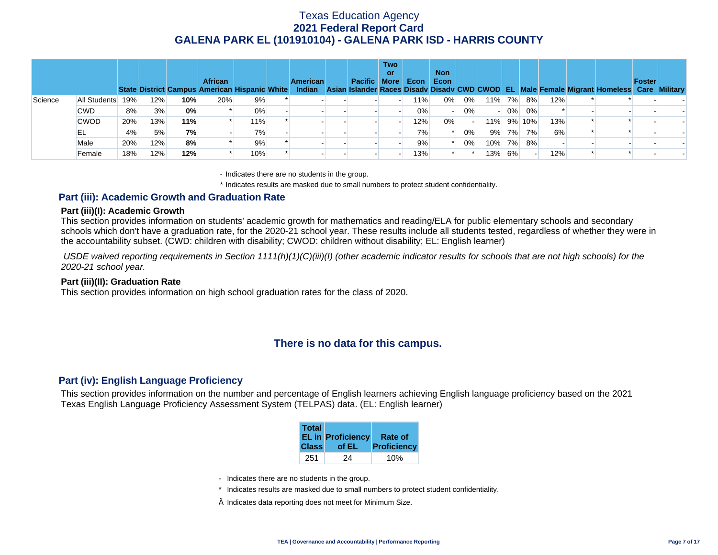|         |              |     |     |     | <b>African</b><br><b>State District Campus American Hispanic White</b> |       | <b>American</b><br>Indian | Pacific More | <b>Two</b><br>or | Econ | <b>Non</b><br>Econ |    |                          |        |        |     | Asian Islander Races Disady Disady CWD CWOD EL Male Female Migrant Homeless Care Military | <b>Foster</b> |  |
|---------|--------------|-----|-----|-----|------------------------------------------------------------------------|-------|---------------------------|--------------|------------------|------|--------------------|----|--------------------------|--------|--------|-----|-------------------------------------------------------------------------------------------|---------------|--|
| Science | All Students | 19% | 12% | 10% | 20%                                                                    | 9%    |                           |              |                  | 11%  | 0%                 | 0% |                          | 11% 7% | 8%     | 12% |                                                                                           |               |  |
|         | <b>CWD</b>   | 8%  | 3%  | 0%  |                                                                        | $0\%$ |                           |              |                  | 0%   |                    | 0% | $\overline{\phantom{0}}$ |        | 0% 0%  |     |                                                                                           |               |  |
|         | <b>CWOD</b>  | 20% | 13% | 11% |                                                                        | 11%   |                           |              |                  | 12%  | 0%                 |    | $11\%$                   |        | 9% 10% | 13% |                                                                                           |               |  |
|         | EL           | 4%  | 5%  | 7%  |                                                                        | 7%    |                           |              |                  | 7%   |                    | 0% | 9%                       | 7%     | 7%     | 6%  |                                                                                           |               |  |
|         | Male         | 20% | 12% | 8%  |                                                                        | 9%    |                           |              |                  | 9%   |                    | 0% |                          | 10% 7% | 8%     |     |                                                                                           |               |  |
|         | Female       | 18% | 12% | 12% |                                                                        | 10%   |                           |              |                  | 13%  |                    |    | 13%                      | 6%     |        | 12% |                                                                                           |               |  |

- Indicates there are no students in the group.

\* Indicates results are masked due to small numbers to protect student confidentiality.

### **Part (iii): Academic Growth and Graduation Rate**

#### **Part (iii)(I): Academic Growth**

This section provides information on students' academic growth for mathematics and reading/ELA for public elementary schools and secondary schools which don't have a graduation rate, for the 2020-21 school year. These results include all students tested, regardless of whether they were in the accountability subset. (CWD: children with disability; CWOD: children without disability; EL: English learner)

 *USDE waived reporting requirements in Section 1111(h)(1)(C)(iii)(I) (other academic indicator results for schools that are not high schools) for the 2020-21 school year.* 

#### **Part (iii)(II): Graduation Rate**

This section provides information on high school graduation rates for the class of 2020.

# **There is no data for this campus.**

### **Part (iv): English Language Proficiency**

This section provides information on the number and percentage of English learners achieving English language proficiency based on the 2021 Texas English Language Proficiency Assessment System (TELPAS) data. (EL: English learner)

| <b>Total</b> | <b>EL in Proficiency</b> | Rate of     |
|--------------|--------------------------|-------------|
| <b>Class</b> | of EL                    | Proficiency |
| 251          | 24                       |             |

- Indicates there are no students in the group.
- \* Indicates results are masked due to small numbers to protect student confidentiality.
- $\diamond$  Indicates data reporting does not meet for Minimum Size.